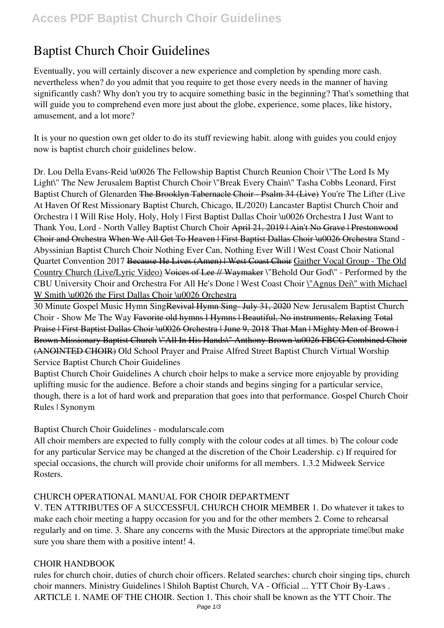# **Baptist Church Choir Guidelines**

Eventually, you will certainly discover a new experience and completion by spending more cash. nevertheless when? do you admit that you require to get those every needs in the manner of having significantly cash? Why don't you try to acquire something basic in the beginning? That's something that will guide you to comprehend even more just about the globe, experience, some places, like history, amusement, and a lot more?

It is your no question own get older to do its stuff reviewing habit. along with guides you could enjoy now is **baptist church choir guidelines** below.

**Dr. Lou Della Evans-Reid \u0026 The Fellowship Baptist Church Reunion Choir** *\"The Lord Is My Light\" The New Jerusalem Baptist Church Choir* \"Break Every Chain\" Tasha Cobbs Leonard, First Baptist Church of Glenarden The Brooklyn Tabernacle Choir - Psalm 34 (Live) *You're The Lifter (Live At Haven Of Rest Missionary Baptist Church, Chicago, IL/2020) Lancaster Baptist Church Choir and Orchestra | I Will Rise* **Holy, Holy, Holy | First Baptist Dallas Choir \u0026 Orchestra** I Just Want to Thank You, Lord - North Valley Baptist Church Choir April 21, 2019 | Ain't No Grave | Prestonwood Choir and Orchestra When We All Get To Heaven | First Baptist Dallas Choir \u0026 Orchestra Stand - Abyssinian Baptist Church Choir *Nothing Ever Can, Nothing Ever Will | West Coast Choir National Quartet Convention 2017* Because He Lives (Amen) | West Coast Choir Gaither Vocal Group - The Old Country Church (Live/Lyric Video) Voices of Lee // Waymaker **\"Behold Our God\" - Performed by the CBU University Choir and Orchestra** *For All He's Done | West Coast Choir* \"Agnus Dei\" with Michael W Smith \u0026 the First Dallas Choir \u0026 Orchestra

30 Minute Gospel Music Hymn SingRevival Hymn Sing- July 31, 2020 **New Jerusalem Baptist Church Choir - Show Me The Way** Favorite old hymns l Hymns | Beautiful, No instruments, Relaxing Total Praise | First Baptist Dallas Choir \u0026 Orchestra | June 9, 2018 That Man | Mighty Men of Brown | Brown Missionary Baptist Church \"All In His Hands\" Anthony Brown \u0026 FBCG Combined Choir (ANOINTED CHOIR) *Old School Prayer and Praise Alfred Street Baptist Church Virtual Worship Service Baptist Church Choir Guidelines*

Baptist Church Choir Guidelines A church choir helps to make a service more enjoyable by providing uplifting music for the audience. Before a choir stands and begins singing for a particular service, though, there is a lot of hard work and preparation that goes into that performance. Gospel Church Choir Rules | Synonym

*Baptist Church Choir Guidelines - modularscale.com*

All choir members are expected to fully comply with the colour codes at all times. b) The colour code for any particular Service may be changed at the discretion of the Choir Leadership. c) If required for special occasions, the church will provide choir uniforms for all members. 1.3.2 Midweek Service Rosters.

# *CHURCH OPERATIONAL MANUAL FOR CHOIR DEPARTMENT*

V. TEN ATTRIBUTES OF A SUCCESSFUL CHURCH CHOIR MEMBER 1. Do whatever it takes to make each choir meeting a happy occasion for you and for the other members 2. Come to rehearsal regularly and on time. 3. Share any concerns with the Music Directors at the appropriate time. Thus make sure you share them with a positive intent! 4.

# *CHOIR HANDBOOK*

rules for church choir, duties of church choir officers. Related searches: church choir singing tips, church choir manners. Ministry Guidelines | Shiloh Baptist Church, VA - Official ... YTT Choir By-Laws . ARTICLE 1. NAME OF THE CHOIR. Section 1. This choir shall be known as the YTT Choir. The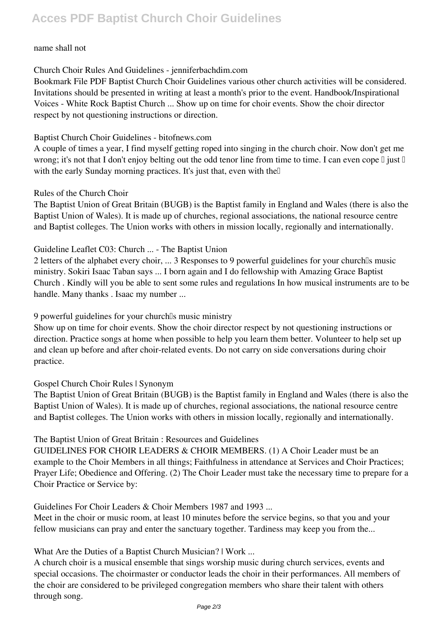# name shall not

*Church Choir Rules And Guidelines - jenniferbachdim.com*

Bookmark File PDF Baptist Church Choir Guidelines various other church activities will be considered. Invitations should be presented in writing at least a month's prior to the event. Handbook/Inspirational Voices - White Rock Baptist Church ... Show up on time for choir events. Show the choir director respect by not questioning instructions or direction.

# *Baptist Church Choir Guidelines - bitofnews.com*

A couple of times a year, I find myself getting roped into singing in the church choir. Now don't get me wrong; it's not that I don't enjoy belting out the odd tenor line from time to time. I can even cope  $\mathbb I$  just  $\mathbb I$ with the early Sunday morning practices. It's just that, even with the

# *Rules of the Church Choir*

The Baptist Union of Great Britain (BUGB) is the Baptist family in England and Wales (there is also the Baptist Union of Wales). It is made up of churches, regional associations, the national resource centre and Baptist colleges. The Union works with others in mission locally, regionally and internationally.

# *Guideline Leaflet C03: Church ... - The Baptist Union*

2 letters of the alphabet every choir, ... 3 Responses to 9 powerful guidelines for your church's music ministry. Sokiri Isaac Taban says ... I born again and I do fellowship with Amazing Grace Baptist Church . Kindly will you be able to sent some rules and regulations In how musical instruments are to be handle. Many thanks . Isaac my number ...

*9 powerful guidelines for your church's music ministry*

Show up on time for choir events. Show the choir director respect by not questioning instructions or direction. Practice songs at home when possible to help you learn them better. Volunteer to help set up and clean up before and after choir-related events. Do not carry on side conversations during choir practice.

# *Gospel Church Choir Rules | Synonym*

The Baptist Union of Great Britain (BUGB) is the Baptist family in England and Wales (there is also the Baptist Union of Wales). It is made up of churches, regional associations, the national resource centre and Baptist colleges. The Union works with others in mission locally, regionally and internationally.

#### *The Baptist Union of Great Britain : Resources and Guidelines*

GUIDELINES FOR CHOIR LEADERS & CHOIR MEMBERS. (1) A Choir Leader must be an example to the Choir Members in all things; Faithfulness in attendance at Services and Choir Practices; Prayer Life; Obedience and Offering. (2) The Choir Leader must take the necessary time to prepare for a Choir Practice or Service by:

*Guidelines For Choir Leaders & Choir Members 1987 and 1993 ...*

Meet in the choir or music room, at least 10 minutes before the service begins, so that you and your fellow musicians can pray and enter the sanctuary together. Tardiness may keep you from the...

*What Are the Duties of a Baptist Church Musician? | Work ...*

A church choir is a musical ensemble that sings worship music during church services, events and special occasions. The choirmaster or conductor leads the choir in their performances. All members of the choir are considered to be privileged congregation members who share their talent with others through song.